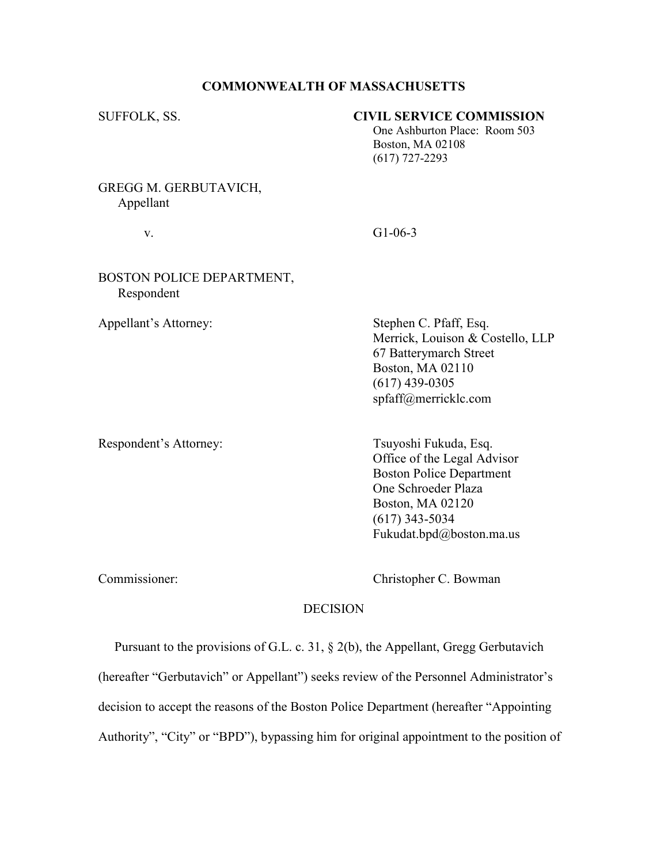## COMMONWEALTH OF MASSACHUSETTS

## SUFFOLK, SS. CIVIL SERVICE COMMISSION

 One Ashburton Place: Room 503 Boston, MA 02108 (617) 727-2293

GREGG M. GERBUTAVICH, Appellant

v. G1-06-3

## BOSTON POLICE DEPARTMENT, Respondent

Appellant's Attorney: Stephen C. Pfaff, Esq. Merrick, Louison & Costello, LLP 67 Batterymarch Street Boston, MA 02110 (617) 439-0305 spfaff@merricklc.com

Respondent's Attorney: Tsuyoshi Fukuda, Esq.

 Office of the Legal Advisor Boston Police Department One Schroeder Plaza Boston, MA 02120 (617) 343-5034 Fukudat.bpd@boston.ma.us

Commissioner: Christopher C. Bowman

## DECISION

 Pursuant to the provisions of G.L. c. 31, § 2(b), the Appellant, Gregg Gerbutavich (hereafter "Gerbutavich" or Appellant") seeks review of the Personnel Administrator's decision to accept the reasons of the Boston Police Department (hereafter "Appointing Authority", "City" or "BPD"), bypassing him for original appointment to the position of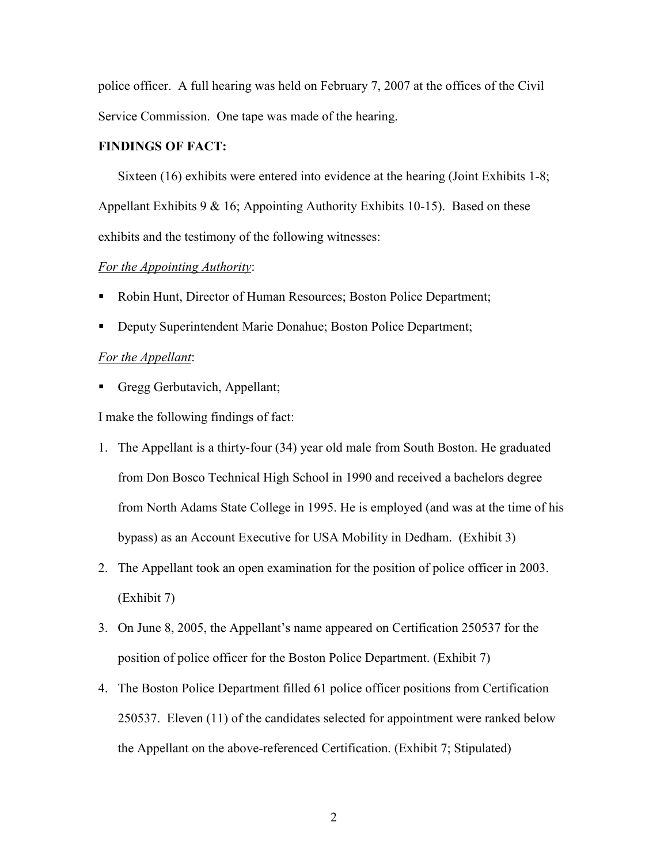police officer. A full hearing was held on February 7, 2007 at the offices of the Civil Service Commission. One tape was made of the hearing.

# FINDINGS OF FACT:

 Sixteen (16) exhibits were entered into evidence at the hearing (Joint Exhibits 1-8; Appellant Exhibits 9  $\&$  16; Appointing Authority Exhibits 10-15). Based on these exhibits and the testimony of the following witnesses:

## For the Appointing Authority:

- Robin Hunt, Director of Human Resources; Boston Police Department;
- **Deputy Superintendent Marie Donahue; Boston Police Department;**

## For the Appellant:

Gregg Gerbutavich, Appellant;

I make the following findings of fact:

- 1. The Appellant is a thirty-four (34) year old male from South Boston. He graduated from Don Bosco Technical High School in 1990 and received a bachelors degree from North Adams State College in 1995. He is employed (and was at the time of his bypass) as an Account Executive for USA Mobility in Dedham. (Exhibit 3)
- 2. The Appellant took an open examination for the position of police officer in 2003. (Exhibit 7)
- 3. On June 8, 2005, the Appellant's name appeared on Certification 250537 for the position of police officer for the Boston Police Department. (Exhibit 7)
- 4. The Boston Police Department filled 61 police officer positions from Certification 250537. Eleven (11) of the candidates selected for appointment were ranked below the Appellant on the above-referenced Certification. (Exhibit 7; Stipulated)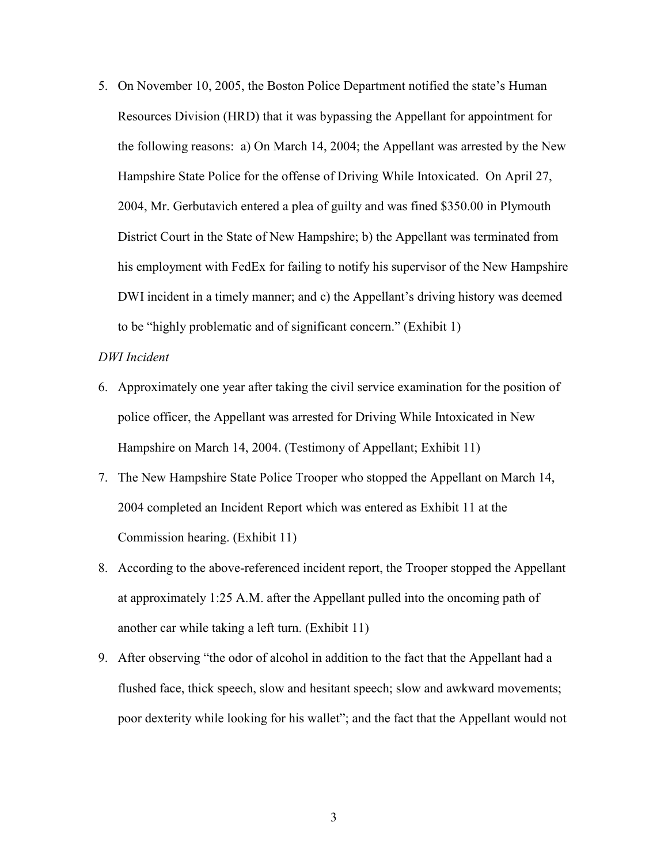5. On November 10, 2005, the Boston Police Department notified the state's Human Resources Division (HRD) that it was bypassing the Appellant for appointment for the following reasons: a) On March 14, 2004; the Appellant was arrested by the New Hampshire State Police for the offense of Driving While Intoxicated. On April 27, 2004, Mr. Gerbutavich entered a plea of guilty and was fined \$350.00 in Plymouth District Court in the State of New Hampshire; b) the Appellant was terminated from his employment with FedEx for failing to notify his supervisor of the New Hampshire DWI incident in a timely manner; and c) the Appellant's driving history was deemed to be "highly problematic and of significant concern." (Exhibit 1)

## DWI Incident

- 6. Approximately one year after taking the civil service examination for the position of police officer, the Appellant was arrested for Driving While Intoxicated in New Hampshire on March 14, 2004. (Testimony of Appellant; Exhibit 11)
- 7. The New Hampshire State Police Trooper who stopped the Appellant on March 14, 2004 completed an Incident Report which was entered as Exhibit 11 at the Commission hearing. (Exhibit 11)
- 8. According to the above-referenced incident report, the Trooper stopped the Appellant at approximately 1:25 A.M. after the Appellant pulled into the oncoming path of another car while taking a left turn. (Exhibit 11)
- 9. After observing "the odor of alcohol in addition to the fact that the Appellant had a flushed face, thick speech, slow and hesitant speech; slow and awkward movements; poor dexterity while looking for his wallet"; and the fact that the Appellant would not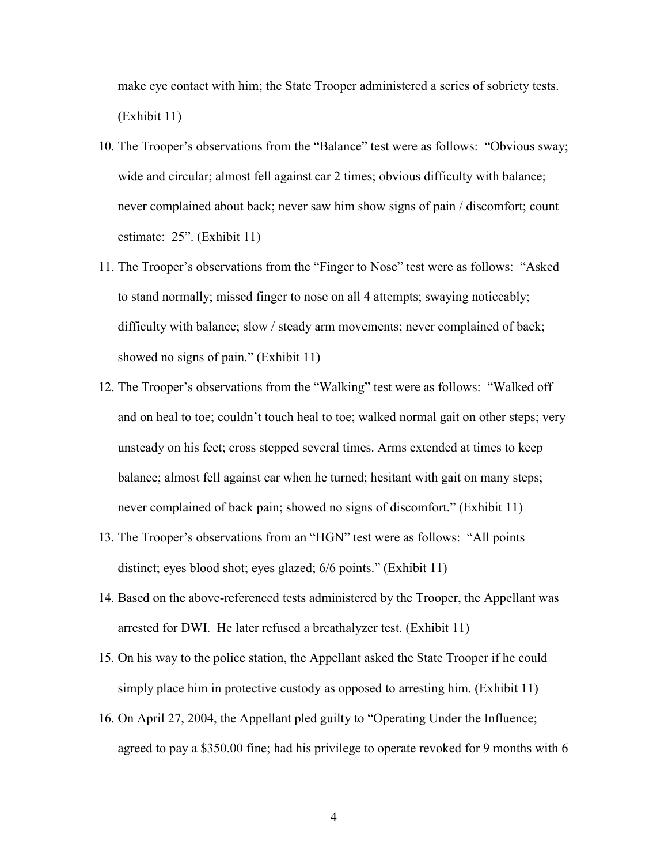make eye contact with him; the State Trooper administered a series of sobriety tests. (Exhibit 11)

- 10. The Trooper's observations from the "Balance" test were as follows: "Obvious sway; wide and circular; almost fell against car 2 times; obvious difficulty with balance; never complained about back; never saw him show signs of pain / discomfort; count estimate: 25". (Exhibit 11)
- 11. The Trooper's observations from the "Finger to Nose" test were as follows: "Asked to stand normally; missed finger to nose on all 4 attempts; swaying noticeably; difficulty with balance; slow / steady arm movements; never complained of back; showed no signs of pain." (Exhibit 11)
- 12. The Trooper's observations from the "Walking" test were as follows: "Walked off and on heal to toe; couldn't touch heal to toe; walked normal gait on other steps; very unsteady on his feet; cross stepped several times. Arms extended at times to keep balance; almost fell against car when he turned; hesitant with gait on many steps; never complained of back pain; showed no signs of discomfort." (Exhibit 11)
- 13. The Trooper's observations from an "HGN" test were as follows: "All points distinct; eyes blood shot; eyes glazed; 6/6 points." (Exhibit 11)
- 14. Based on the above-referenced tests administered by the Trooper, the Appellant was arrested for DWI. He later refused a breathalyzer test. (Exhibit 11)
- 15. On his way to the police station, the Appellant asked the State Trooper if he could simply place him in protective custody as opposed to arresting him. (Exhibit 11)
- 16. On April 27, 2004, the Appellant pled guilty to "Operating Under the Influence; agreed to pay a \$350.00 fine; had his privilege to operate revoked for 9 months with 6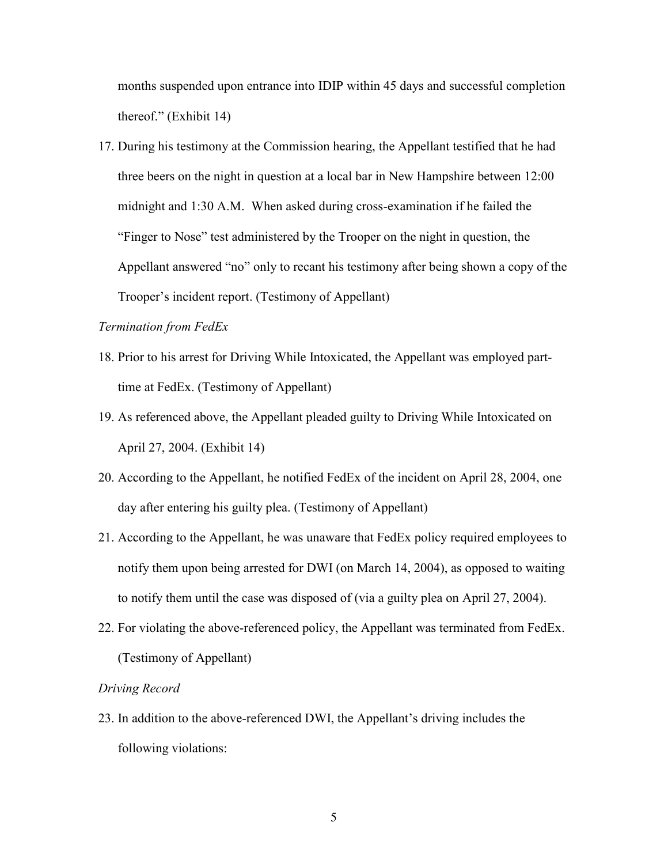months suspended upon entrance into IDIP within 45 days and successful completion thereof." (Exhibit 14)

17. During his testimony at the Commission hearing, the Appellant testified that he had three beers on the night in question at a local bar in New Hampshire between 12:00 midnight and 1:30 A.M. When asked during cross-examination if he failed the "Finger to Nose" test administered by the Trooper on the night in question, the Appellant answered "no" only to recant his testimony after being shown a copy of the Trooper's incident report. (Testimony of Appellant)

## Termination from FedEx

- 18. Prior to his arrest for Driving While Intoxicated, the Appellant was employed parttime at FedEx. (Testimony of Appellant)
- 19. As referenced above, the Appellant pleaded guilty to Driving While Intoxicated on April 27, 2004. (Exhibit 14)
- 20. According to the Appellant, he notified FedEx of the incident on April 28, 2004, one day after entering his guilty plea. (Testimony of Appellant)
- 21. According to the Appellant, he was unaware that FedEx policy required employees to notify them upon being arrested for DWI (on March 14, 2004), as opposed to waiting to notify them until the case was disposed of (via a guilty plea on April 27, 2004).
- 22. For violating the above-referenced policy, the Appellant was terminated from FedEx. (Testimony of Appellant)

#### Driving Record

23. In addition to the above-referenced DWI, the Appellant's driving includes the following violations: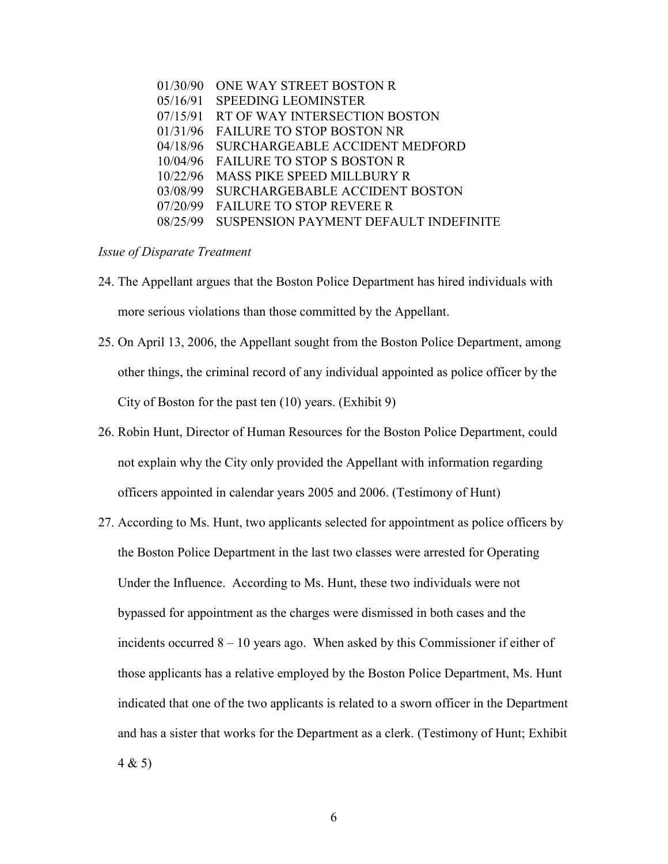| ONE WAY STREET BOSTON R                |
|----------------------------------------|
| 05/16/91<br><b>SPEEDING LEOMINSTER</b> |
| 07/15/91 RT OF WAY INTERSECTION BOSTON |
| <b>FAILURE TO STOP BOSTON NR</b>       |
| SURCHARGEABLE ACCIDENT MEDFORD         |
| 10/04/96 FAILURE TO STOP S BOSTON R    |
| <b>MASS PIKE SPEED MILLBURY R</b>      |
| <b>SURCHARGEBABLE ACCIDENT BOSTON</b>  |
| <b>FAILURE TO STOP REVERE R</b>        |
| SUSPENSION PAYMENT DEFAULT INDEFINITE  |
|                                        |

## Issue of Disparate Treatment

- 24. The Appellant argues that the Boston Police Department has hired individuals with more serious violations than those committed by the Appellant.
- 25. On April 13, 2006, the Appellant sought from the Boston Police Department, among other things, the criminal record of any individual appointed as police officer by the City of Boston for the past ten (10) years. (Exhibit 9)
- 26. Robin Hunt, Director of Human Resources for the Boston Police Department, could not explain why the City only provided the Appellant with information regarding officers appointed in calendar years 2005 and 2006. (Testimony of Hunt)
- 27. According to Ms. Hunt, two applicants selected for appointment as police officers by the Boston Police Department in the last two classes were arrested for Operating Under the Influence. According to Ms. Hunt, these two individuals were not bypassed for appointment as the charges were dismissed in both cases and the incidents occurred 8 – 10 years ago. When asked by this Commissioner if either of those applicants has a relative employed by the Boston Police Department, Ms. Hunt indicated that one of the two applicants is related to a sworn officer in the Department and has a sister that works for the Department as a clerk. (Testimony of Hunt; Exhibit 4 & 5)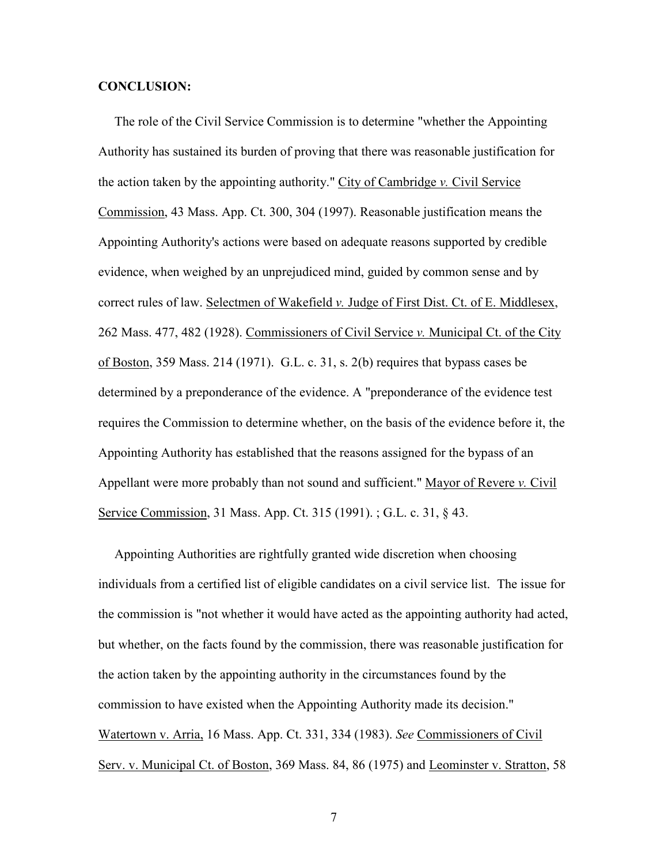## CONCLUSION:

 The role of the Civil Service Commission is to determine "whether the Appointing Authority has sustained its burden of proving that there was reasonable justification for the action taken by the appointing authority." City of Cambridge v. Civil Service Commission, 43 Mass. App. Ct. 300, 304 (1997). Reasonable justification means the Appointing Authority's actions were based on adequate reasons supported by credible evidence, when weighed by an unprejudiced mind, guided by common sense and by correct rules of law. Selectmen of Wakefield  $\nu$ . Judge of First Dist. Ct. of E. Middlesex, 262 Mass. 477, 482 (1928). Commissioners of Civil Service v. Municipal Ct. of the City of Boston, 359 Mass. 214 (1971). G.L. c. 31, s. 2(b) requires that bypass cases be determined by a preponderance of the evidence. A "preponderance of the evidence test requires the Commission to determine whether, on the basis of the evidence before it, the Appointing Authority has established that the reasons assigned for the bypass of an Appellant were more probably than not sound and sufficient." Mayor of Revere v. Civil Service Commission, 31 Mass. App. Ct. 315 (1991). ; G.L. c. 31, § 43.

 Appointing Authorities are rightfully granted wide discretion when choosing individuals from a certified list of eligible candidates on a civil service list. The issue for the commission is "not whether it would have acted as the appointing authority had acted, but whether, on the facts found by the commission, there was reasonable justification for the action taken by the appointing authority in the circumstances found by the commission to have existed when the Appointing Authority made its decision." Watertown v. Arria, 16 Mass. App. Ct. 331, 334 (1983). See Commissioners of Civil Serv. v. Municipal Ct. of Boston, 369 Mass. 84, 86 (1975) and Leominster v. Stratton, 58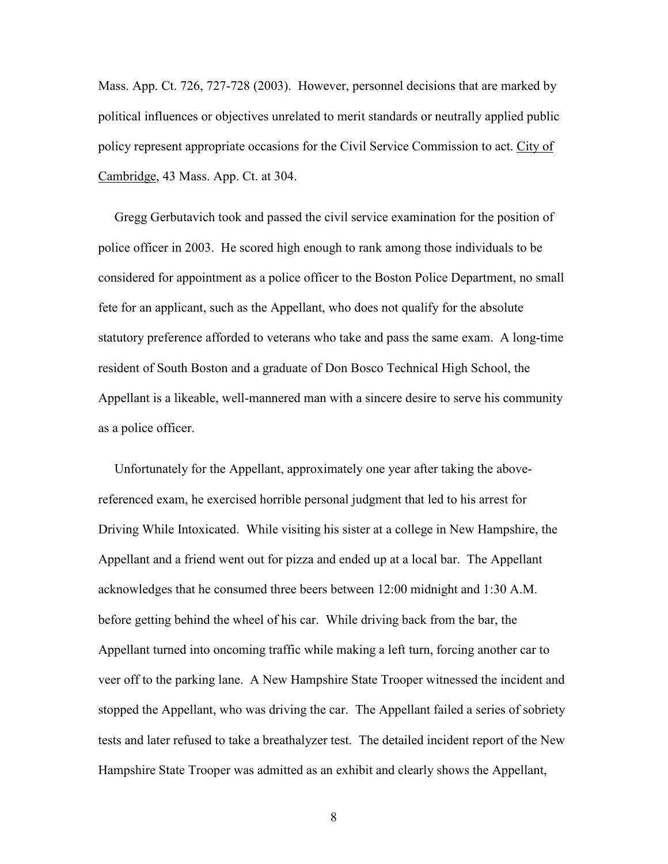Mass. App. Ct. 726, 727-728 (2003). However, personnel decisions that are marked by political influences or objectives unrelated to merit standards or neutrally applied public policy represent appropriate occasions for the Civil Service Commission to act. City of Cambridge, 43 Mass. App. Ct. at 304.

 Gregg Gerbutavich took and passed the civil service examination for the position of police officer in 2003. He scored high enough to rank among those individuals to be considered for appointment as a police officer to the Boston Police Department, no small fete for an applicant, such as the Appellant, who does not qualify for the absolute statutory preference afforded to veterans who take and pass the same exam. A long-time resident of South Boston and a graduate of Don Bosco Technical High School, the Appellant is a likeable, well-mannered man with a sincere desire to serve his community as a police officer.

 Unfortunately for the Appellant, approximately one year after taking the abovereferenced exam, he exercised horrible personal judgment that led to his arrest for Driving While Intoxicated. While visiting his sister at a college in New Hampshire, the Appellant and a friend went out for pizza and ended up at a local bar. The Appellant acknowledges that he consumed three beers between 12:00 midnight and 1:30 A.M. before getting behind the wheel of his car. While driving back from the bar, the Appellant turned into oncoming traffic while making a left turn, forcing another car to veer off to the parking lane. A New Hampshire State Trooper witnessed the incident and stopped the Appellant, who was driving the car. The Appellant failed a series of sobriety tests and later refused to take a breathalyzer test. The detailed incident report of the New Hampshire State Trooper was admitted as an exhibit and clearly shows the Appellant,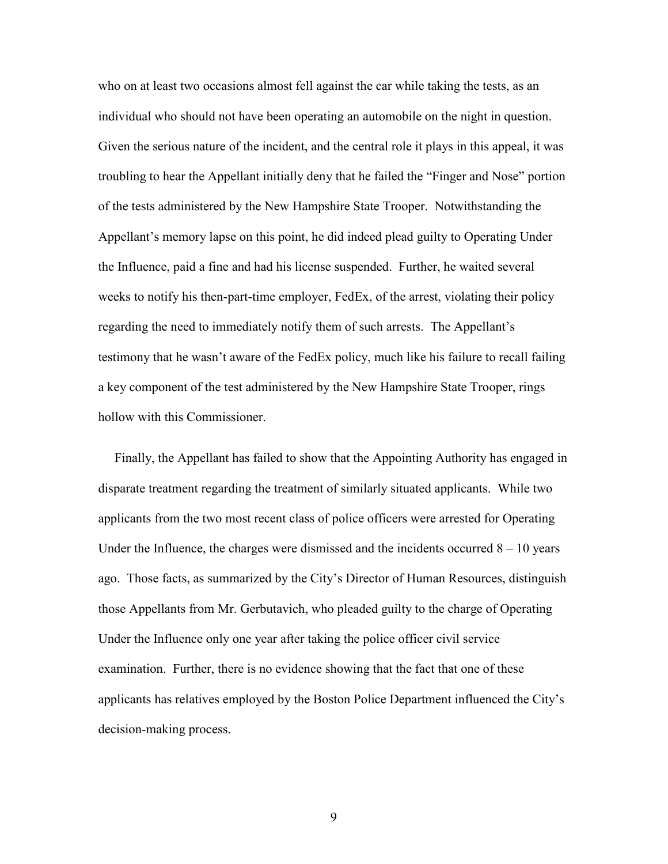who on at least two occasions almost fell against the car while taking the tests, as an individual who should not have been operating an automobile on the night in question. Given the serious nature of the incident, and the central role it plays in this appeal, it was troubling to hear the Appellant initially deny that he failed the "Finger and Nose" portion of the tests administered by the New Hampshire State Trooper. Notwithstanding the Appellant's memory lapse on this point, he did indeed plead guilty to Operating Under the Influence, paid a fine and had his license suspended. Further, he waited several weeks to notify his then-part-time employer, FedEx, of the arrest, violating their policy regarding the need to immediately notify them of such arrests. The Appellant's testimony that he wasn't aware of the FedEx policy, much like his failure to recall failing a key component of the test administered by the New Hampshire State Trooper, rings hollow with this Commissioner.

 Finally, the Appellant has failed to show that the Appointing Authority has engaged in disparate treatment regarding the treatment of similarly situated applicants. While two applicants from the two most recent class of police officers were arrested for Operating Under the Influence, the charges were dismissed and the incidents occurred  $8 - 10$  years ago. Those facts, as summarized by the City's Director of Human Resources, distinguish those Appellants from Mr. Gerbutavich, who pleaded guilty to the charge of Operating Under the Influence only one year after taking the police officer civil service examination. Further, there is no evidence showing that the fact that one of these applicants has relatives employed by the Boston Police Department influenced the City's decision-making process.